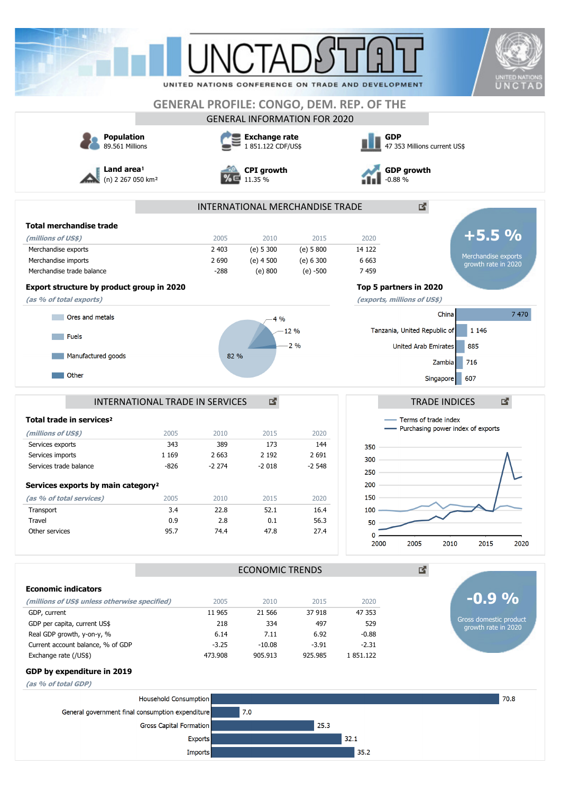| LINCT<br>UNITED NATIONS CONFERENCE ON TRADE AND DEVELOPMENT<br><b>GENERAL PROFILE: CONGO, DEM. REP. OF THE</b><br><b>GENERAL INFORMATION FOR 2020</b><br><b>GDP</b><br><b>Population</b><br><b>Exchange rate</b><br>89.561 Millions<br>1 851.122 CDF/US\$<br>47 353 Millions current US\$<br>Land area <sup>1</sup><br><b>GDP growth</b><br><b>CPI</b> growth<br>(n) 2 267 050 km <sup>2</sup><br>11.35 %<br>$-0.88%$<br>國<br>INTERNATIONAL MERCHANDISE TRADE<br><b>Total merchandise trade</b><br>2005<br>2010<br>2015<br>2020<br>(millions of US\$)<br>14 122<br>Merchandise exports<br>2 4 0 3<br>(e) 5 300<br>(e) 5800<br>2 6 9 0<br>$(e)$ 4 500<br>(e) 6 300<br>6 6 63<br>Merchandise imports<br>$-288$<br>7459<br>Merchandise trade balance<br>(e) 800<br>$(e) - 500$<br>Export structure by product group in 2020<br>Top 5 partners in 2020<br>(as % of total exports)<br>(exports, millions of US\$)<br>China<br>Ores and metals<br>4 %<br>Tanzania, United Republic of<br>1 1 4 6<br>12 %<br><b>Fuels</b><br>2%<br>United Arab Emirates<br>885<br>Manufactured goods<br>82 %<br>716<br>Zambia<br>Other<br>607<br>Singapore<br>國<br>INTERNATIONAL TRADE IN SERVICES<br><b>TRADE INDICES</b><br>Terms of trade index<br>Total trade in services <sup>2</sup><br>- Purchasing power index of exports<br>(millions of US\$)<br>2005<br>2010<br>2015<br>2020<br>144<br>Services exports<br>343<br>389<br>173<br>350<br>2 1 9 2<br>2 6 9 1<br>1 1 6 9<br>2 6 6 3<br>Services imports<br>300<br>$-826$<br>$-2274$<br>$-2018$<br>$-2548$<br>Services trade balance<br>250<br>200<br>Services exports by main category <sup>2</sup><br>150<br>(as % of total services)<br>2010<br>2015<br>2020<br>2005<br>3.4<br>22.8<br>52.1<br>16.4<br>100<br>Transport<br>Travel<br>0.9<br>2.8<br>0.1<br>56.3<br>50<br>47.8<br>27.4<br>Other services<br>95.7<br>74.4<br>0<br>2005<br>2010<br>2015<br>2000<br>國<br><b>ECONOMIC TRENDS</b><br><b>Economic indicators</b><br>2015<br>(millions of US\$ unless otherwise specified)<br>2005<br>2010<br>2020<br>11 965<br>21 566<br>37 918<br>47 353<br>GDP, current<br>GDP per capita, current US\$<br>529<br>218<br>334<br>497<br>Real GDP growth, y-on-y, %<br>6.14<br>7.11<br>6.92<br>$-0.88$<br>Current account balance, % of GDP<br>$-3.25$<br>$-10.08$<br>$-3.91$<br>$-2.31$<br>Exchange rate (/US\$)<br>473.908<br>905.913<br>925.985<br>1851.122<br>GDP by expenditure in 2019<br>(as % of total GDP)<br>Household Consumption<br>7.0<br>General government final consumption expenditure<br>25.3<br>Gross Capital Formation |  |                |  |  |      |                                               |  |  |
|----------------------------------------------------------------------------------------------------------------------------------------------------------------------------------------------------------------------------------------------------------------------------------------------------------------------------------------------------------------------------------------------------------------------------------------------------------------------------------------------------------------------------------------------------------------------------------------------------------------------------------------------------------------------------------------------------------------------------------------------------------------------------------------------------------------------------------------------------------------------------------------------------------------------------------------------------------------------------------------------------------------------------------------------------------------------------------------------------------------------------------------------------------------------------------------------------------------------------------------------------------------------------------------------------------------------------------------------------------------------------------------------------------------------------------------------------------------------------------------------------------------------------------------------------------------------------------------------------------------------------------------------------------------------------------------------------------------------------------------------------------------------------------------------------------------------------------------------------------------------------------------------------------------------------------------------------------------------------------------------------------------------------------------------------------------------------------------------------------------------------------------------------------------------------------------------------------------------------------------------------------------------------------------------------------------------------------------------------------------------------------------------------------------------------------------------------------------------------------------------------------------------------------------------------------------------|--|----------------|--|--|------|-----------------------------------------------|--|--|
|                                                                                                                                                                                                                                                                                                                                                                                                                                                                                                                                                                                                                                                                                                                                                                                                                                                                                                                                                                                                                                                                                                                                                                                                                                                                                                                                                                                                                                                                                                                                                                                                                                                                                                                                                                                                                                                                                                                                                                                                                                                                                                                                                                                                                                                                                                                                                                                                                                                                                                                                                                      |  |                |  |  |      | <b>UNITED NATION</b>                          |  |  |
|                                                                                                                                                                                                                                                                                                                                                                                                                                                                                                                                                                                                                                                                                                                                                                                                                                                                                                                                                                                                                                                                                                                                                                                                                                                                                                                                                                                                                                                                                                                                                                                                                                                                                                                                                                                                                                                                                                                                                                                                                                                                                                                                                                                                                                                                                                                                                                                                                                                                                                                                                                      |  |                |  |  |      | UNCTAD                                        |  |  |
|                                                                                                                                                                                                                                                                                                                                                                                                                                                                                                                                                                                                                                                                                                                                                                                                                                                                                                                                                                                                                                                                                                                                                                                                                                                                                                                                                                                                                                                                                                                                                                                                                                                                                                                                                                                                                                                                                                                                                                                                                                                                                                                                                                                                                                                                                                                                                                                                                                                                                                                                                                      |  |                |  |  |      |                                               |  |  |
|                                                                                                                                                                                                                                                                                                                                                                                                                                                                                                                                                                                                                                                                                                                                                                                                                                                                                                                                                                                                                                                                                                                                                                                                                                                                                                                                                                                                                                                                                                                                                                                                                                                                                                                                                                                                                                                                                                                                                                                                                                                                                                                                                                                                                                                                                                                                                                                                                                                                                                                                                                      |  |                |  |  |      |                                               |  |  |
|                                                                                                                                                                                                                                                                                                                                                                                                                                                                                                                                                                                                                                                                                                                                                                                                                                                                                                                                                                                                                                                                                                                                                                                                                                                                                                                                                                                                                                                                                                                                                                                                                                                                                                                                                                                                                                                                                                                                                                                                                                                                                                                                                                                                                                                                                                                                                                                                                                                                                                                                                                      |  |                |  |  |      |                                               |  |  |
|                                                                                                                                                                                                                                                                                                                                                                                                                                                                                                                                                                                                                                                                                                                                                                                                                                                                                                                                                                                                                                                                                                                                                                                                                                                                                                                                                                                                                                                                                                                                                                                                                                                                                                                                                                                                                                                                                                                                                                                                                                                                                                                                                                                                                                                                                                                                                                                                                                                                                                                                                                      |  |                |  |  |      |                                               |  |  |
|                                                                                                                                                                                                                                                                                                                                                                                                                                                                                                                                                                                                                                                                                                                                                                                                                                                                                                                                                                                                                                                                                                                                                                                                                                                                                                                                                                                                                                                                                                                                                                                                                                                                                                                                                                                                                                                                                                                                                                                                                                                                                                                                                                                                                                                                                                                                                                                                                                                                                                                                                                      |  |                |  |  |      |                                               |  |  |
|                                                                                                                                                                                                                                                                                                                                                                                                                                                                                                                                                                                                                                                                                                                                                                                                                                                                                                                                                                                                                                                                                                                                                                                                                                                                                                                                                                                                                                                                                                                                                                                                                                                                                                                                                                                                                                                                                                                                                                                                                                                                                                                                                                                                                                                                                                                                                                                                                                                                                                                                                                      |  |                |  |  |      |                                               |  |  |
|                                                                                                                                                                                                                                                                                                                                                                                                                                                                                                                                                                                                                                                                                                                                                                                                                                                                                                                                                                                                                                                                                                                                                                                                                                                                                                                                                                                                                                                                                                                                                                                                                                                                                                                                                                                                                                                                                                                                                                                                                                                                                                                                                                                                                                                                                                                                                                                                                                                                                                                                                                      |  |                |  |  |      |                                               |  |  |
|                                                                                                                                                                                                                                                                                                                                                                                                                                                                                                                                                                                                                                                                                                                                                                                                                                                                                                                                                                                                                                                                                                                                                                                                                                                                                                                                                                                                                                                                                                                                                                                                                                                                                                                                                                                                                                                                                                                                                                                                                                                                                                                                                                                                                                                                                                                                                                                                                                                                                                                                                                      |  |                |  |  |      | $+5.5%$                                       |  |  |
|                                                                                                                                                                                                                                                                                                                                                                                                                                                                                                                                                                                                                                                                                                                                                                                                                                                                                                                                                                                                                                                                                                                                                                                                                                                                                                                                                                                                                                                                                                                                                                                                                                                                                                                                                                                                                                                                                                                                                                                                                                                                                                                                                                                                                                                                                                                                                                                                                                                                                                                                                                      |  |                |  |  |      |                                               |  |  |
|                                                                                                                                                                                                                                                                                                                                                                                                                                                                                                                                                                                                                                                                                                                                                                                                                                                                                                                                                                                                                                                                                                                                                                                                                                                                                                                                                                                                                                                                                                                                                                                                                                                                                                                                                                                                                                                                                                                                                                                                                                                                                                                                                                                                                                                                                                                                                                                                                                                                                                                                                                      |  |                |  |  |      | Merchandise exports<br>growth rate in 2020    |  |  |
|                                                                                                                                                                                                                                                                                                                                                                                                                                                                                                                                                                                                                                                                                                                                                                                                                                                                                                                                                                                                                                                                                                                                                                                                                                                                                                                                                                                                                                                                                                                                                                                                                                                                                                                                                                                                                                                                                                                                                                                                                                                                                                                                                                                                                                                                                                                                                                                                                                                                                                                                                                      |  |                |  |  |      |                                               |  |  |
|                                                                                                                                                                                                                                                                                                                                                                                                                                                                                                                                                                                                                                                                                                                                                                                                                                                                                                                                                                                                                                                                                                                                                                                                                                                                                                                                                                                                                                                                                                                                                                                                                                                                                                                                                                                                                                                                                                                                                                                                                                                                                                                                                                                                                                                                                                                                                                                                                                                                                                                                                                      |  |                |  |  |      |                                               |  |  |
|                                                                                                                                                                                                                                                                                                                                                                                                                                                                                                                                                                                                                                                                                                                                                                                                                                                                                                                                                                                                                                                                                                                                                                                                                                                                                                                                                                                                                                                                                                                                                                                                                                                                                                                                                                                                                                                                                                                                                                                                                                                                                                                                                                                                                                                                                                                                                                                                                                                                                                                                                                      |  |                |  |  |      |                                               |  |  |
|                                                                                                                                                                                                                                                                                                                                                                                                                                                                                                                                                                                                                                                                                                                                                                                                                                                                                                                                                                                                                                                                                                                                                                                                                                                                                                                                                                                                                                                                                                                                                                                                                                                                                                                                                                                                                                                                                                                                                                                                                                                                                                                                                                                                                                                                                                                                                                                                                                                                                                                                                                      |  |                |  |  |      | 7 470                                         |  |  |
|                                                                                                                                                                                                                                                                                                                                                                                                                                                                                                                                                                                                                                                                                                                                                                                                                                                                                                                                                                                                                                                                                                                                                                                                                                                                                                                                                                                                                                                                                                                                                                                                                                                                                                                                                                                                                                                                                                                                                                                                                                                                                                                                                                                                                                                                                                                                                                                                                                                                                                                                                                      |  |                |  |  |      |                                               |  |  |
|                                                                                                                                                                                                                                                                                                                                                                                                                                                                                                                                                                                                                                                                                                                                                                                                                                                                                                                                                                                                                                                                                                                                                                                                                                                                                                                                                                                                                                                                                                                                                                                                                                                                                                                                                                                                                                                                                                                                                                                                                                                                                                                                                                                                                                                                                                                                                                                                                                                                                                                                                                      |  |                |  |  |      |                                               |  |  |
|                                                                                                                                                                                                                                                                                                                                                                                                                                                                                                                                                                                                                                                                                                                                                                                                                                                                                                                                                                                                                                                                                                                                                                                                                                                                                                                                                                                                                                                                                                                                                                                                                                                                                                                                                                                                                                                                                                                                                                                                                                                                                                                                                                                                                                                                                                                                                                                                                                                                                                                                                                      |  |                |  |  |      |                                               |  |  |
|                                                                                                                                                                                                                                                                                                                                                                                                                                                                                                                                                                                                                                                                                                                                                                                                                                                                                                                                                                                                                                                                                                                                                                                                                                                                                                                                                                                                                                                                                                                                                                                                                                                                                                                                                                                                                                                                                                                                                                                                                                                                                                                                                                                                                                                                                                                                                                                                                                                                                                                                                                      |  |                |  |  |      |                                               |  |  |
|                                                                                                                                                                                                                                                                                                                                                                                                                                                                                                                                                                                                                                                                                                                                                                                                                                                                                                                                                                                                                                                                                                                                                                                                                                                                                                                                                                                                                                                                                                                                                                                                                                                                                                                                                                                                                                                                                                                                                                                                                                                                                                                                                                                                                                                                                                                                                                                                                                                                                                                                                                      |  |                |  |  |      |                                               |  |  |
|                                                                                                                                                                                                                                                                                                                                                                                                                                                                                                                                                                                                                                                                                                                                                                                                                                                                                                                                                                                                                                                                                                                                                                                                                                                                                                                                                                                                                                                                                                                                                                                                                                                                                                                                                                                                                                                                                                                                                                                                                                                                                                                                                                                                                                                                                                                                                                                                                                                                                                                                                                      |  |                |  |  |      |                                               |  |  |
|                                                                                                                                                                                                                                                                                                                                                                                                                                                                                                                                                                                                                                                                                                                                                                                                                                                                                                                                                                                                                                                                                                                                                                                                                                                                                                                                                                                                                                                                                                                                                                                                                                                                                                                                                                                                                                                                                                                                                                                                                                                                                                                                                                                                                                                                                                                                                                                                                                                                                                                                                                      |  |                |  |  |      | 図                                             |  |  |
|                                                                                                                                                                                                                                                                                                                                                                                                                                                                                                                                                                                                                                                                                                                                                                                                                                                                                                                                                                                                                                                                                                                                                                                                                                                                                                                                                                                                                                                                                                                                                                                                                                                                                                                                                                                                                                                                                                                                                                                                                                                                                                                                                                                                                                                                                                                                                                                                                                                                                                                                                                      |  |                |  |  |      |                                               |  |  |
|                                                                                                                                                                                                                                                                                                                                                                                                                                                                                                                                                                                                                                                                                                                                                                                                                                                                                                                                                                                                                                                                                                                                                                                                                                                                                                                                                                                                                                                                                                                                                                                                                                                                                                                                                                                                                                                                                                                                                                                                                                                                                                                                                                                                                                                                                                                                                                                                                                                                                                                                                                      |  |                |  |  |      |                                               |  |  |
|                                                                                                                                                                                                                                                                                                                                                                                                                                                                                                                                                                                                                                                                                                                                                                                                                                                                                                                                                                                                                                                                                                                                                                                                                                                                                                                                                                                                                                                                                                                                                                                                                                                                                                                                                                                                                                                                                                                                                                                                                                                                                                                                                                                                                                                                                                                                                                                                                                                                                                                                                                      |  |                |  |  |      |                                               |  |  |
|                                                                                                                                                                                                                                                                                                                                                                                                                                                                                                                                                                                                                                                                                                                                                                                                                                                                                                                                                                                                                                                                                                                                                                                                                                                                                                                                                                                                                                                                                                                                                                                                                                                                                                                                                                                                                                                                                                                                                                                                                                                                                                                                                                                                                                                                                                                                                                                                                                                                                                                                                                      |  |                |  |  |      |                                               |  |  |
|                                                                                                                                                                                                                                                                                                                                                                                                                                                                                                                                                                                                                                                                                                                                                                                                                                                                                                                                                                                                                                                                                                                                                                                                                                                                                                                                                                                                                                                                                                                                                                                                                                                                                                                                                                                                                                                                                                                                                                                                                                                                                                                                                                                                                                                                                                                                                                                                                                                                                                                                                                      |  |                |  |  |      |                                               |  |  |
|                                                                                                                                                                                                                                                                                                                                                                                                                                                                                                                                                                                                                                                                                                                                                                                                                                                                                                                                                                                                                                                                                                                                                                                                                                                                                                                                                                                                                                                                                                                                                                                                                                                                                                                                                                                                                                                                                                                                                                                                                                                                                                                                                                                                                                                                                                                                                                                                                                                                                                                                                                      |  |                |  |  |      |                                               |  |  |
|                                                                                                                                                                                                                                                                                                                                                                                                                                                                                                                                                                                                                                                                                                                                                                                                                                                                                                                                                                                                                                                                                                                                                                                                                                                                                                                                                                                                                                                                                                                                                                                                                                                                                                                                                                                                                                                                                                                                                                                                                                                                                                                                                                                                                                                                                                                                                                                                                                                                                                                                                                      |  |                |  |  |      |                                               |  |  |
|                                                                                                                                                                                                                                                                                                                                                                                                                                                                                                                                                                                                                                                                                                                                                                                                                                                                                                                                                                                                                                                                                                                                                                                                                                                                                                                                                                                                                                                                                                                                                                                                                                                                                                                                                                                                                                                                                                                                                                                                                                                                                                                                                                                                                                                                                                                                                                                                                                                                                                                                                                      |  |                |  |  |      |                                               |  |  |
|                                                                                                                                                                                                                                                                                                                                                                                                                                                                                                                                                                                                                                                                                                                                                                                                                                                                                                                                                                                                                                                                                                                                                                                                                                                                                                                                                                                                                                                                                                                                                                                                                                                                                                                                                                                                                                                                                                                                                                                                                                                                                                                                                                                                                                                                                                                                                                                                                                                                                                                                                                      |  |                |  |  |      |                                               |  |  |
|                                                                                                                                                                                                                                                                                                                                                                                                                                                                                                                                                                                                                                                                                                                                                                                                                                                                                                                                                                                                                                                                                                                                                                                                                                                                                                                                                                                                                                                                                                                                                                                                                                                                                                                                                                                                                                                                                                                                                                                                                                                                                                                                                                                                                                                                                                                                                                                                                                                                                                                                                                      |  |                |  |  |      | 2020                                          |  |  |
|                                                                                                                                                                                                                                                                                                                                                                                                                                                                                                                                                                                                                                                                                                                                                                                                                                                                                                                                                                                                                                                                                                                                                                                                                                                                                                                                                                                                                                                                                                                                                                                                                                                                                                                                                                                                                                                                                                                                                                                                                                                                                                                                                                                                                                                                                                                                                                                                                                                                                                                                                                      |  |                |  |  |      |                                               |  |  |
|                                                                                                                                                                                                                                                                                                                                                                                                                                                                                                                                                                                                                                                                                                                                                                                                                                                                                                                                                                                                                                                                                                                                                                                                                                                                                                                                                                                                                                                                                                                                                                                                                                                                                                                                                                                                                                                                                                                                                                                                                                                                                                                                                                                                                                                                                                                                                                                                                                                                                                                                                                      |  |                |  |  |      |                                               |  |  |
|                                                                                                                                                                                                                                                                                                                                                                                                                                                                                                                                                                                                                                                                                                                                                                                                                                                                                                                                                                                                                                                                                                                                                                                                                                                                                                                                                                                                                                                                                                                                                                                                                                                                                                                                                                                                                                                                                                                                                                                                                                                                                                                                                                                                                                                                                                                                                                                                                                                                                                                                                                      |  |                |  |  |      | $-0.9\%$                                      |  |  |
|                                                                                                                                                                                                                                                                                                                                                                                                                                                                                                                                                                                                                                                                                                                                                                                                                                                                                                                                                                                                                                                                                                                                                                                                                                                                                                                                                                                                                                                                                                                                                                                                                                                                                                                                                                                                                                                                                                                                                                                                                                                                                                                                                                                                                                                                                                                                                                                                                                                                                                                                                                      |  |                |  |  |      |                                               |  |  |
|                                                                                                                                                                                                                                                                                                                                                                                                                                                                                                                                                                                                                                                                                                                                                                                                                                                                                                                                                                                                                                                                                                                                                                                                                                                                                                                                                                                                                                                                                                                                                                                                                                                                                                                                                                                                                                                                                                                                                                                                                                                                                                                                                                                                                                                                                                                                                                                                                                                                                                                                                                      |  |                |  |  |      | Gross domestic product<br>growth rate in 2020 |  |  |
|                                                                                                                                                                                                                                                                                                                                                                                                                                                                                                                                                                                                                                                                                                                                                                                                                                                                                                                                                                                                                                                                                                                                                                                                                                                                                                                                                                                                                                                                                                                                                                                                                                                                                                                                                                                                                                                                                                                                                                                                                                                                                                                                                                                                                                                                                                                                                                                                                                                                                                                                                                      |  |                |  |  |      |                                               |  |  |
|                                                                                                                                                                                                                                                                                                                                                                                                                                                                                                                                                                                                                                                                                                                                                                                                                                                                                                                                                                                                                                                                                                                                                                                                                                                                                                                                                                                                                                                                                                                                                                                                                                                                                                                                                                                                                                                                                                                                                                                                                                                                                                                                                                                                                                                                                                                                                                                                                                                                                                                                                                      |  |                |  |  |      |                                               |  |  |
|                                                                                                                                                                                                                                                                                                                                                                                                                                                                                                                                                                                                                                                                                                                                                                                                                                                                                                                                                                                                                                                                                                                                                                                                                                                                                                                                                                                                                                                                                                                                                                                                                                                                                                                                                                                                                                                                                                                                                                                                                                                                                                                                                                                                                                                                                                                                                                                                                                                                                                                                                                      |  |                |  |  |      |                                               |  |  |
|                                                                                                                                                                                                                                                                                                                                                                                                                                                                                                                                                                                                                                                                                                                                                                                                                                                                                                                                                                                                                                                                                                                                                                                                                                                                                                                                                                                                                                                                                                                                                                                                                                                                                                                                                                                                                                                                                                                                                                                                                                                                                                                                                                                                                                                                                                                                                                                                                                                                                                                                                                      |  |                |  |  |      |                                               |  |  |
|                                                                                                                                                                                                                                                                                                                                                                                                                                                                                                                                                                                                                                                                                                                                                                                                                                                                                                                                                                                                                                                                                                                                                                                                                                                                                                                                                                                                                                                                                                                                                                                                                                                                                                                                                                                                                                                                                                                                                                                                                                                                                                                                                                                                                                                                                                                                                                                                                                                                                                                                                                      |  |                |  |  |      |                                               |  |  |
|                                                                                                                                                                                                                                                                                                                                                                                                                                                                                                                                                                                                                                                                                                                                                                                                                                                                                                                                                                                                                                                                                                                                                                                                                                                                                                                                                                                                                                                                                                                                                                                                                                                                                                                                                                                                                                                                                                                                                                                                                                                                                                                                                                                                                                                                                                                                                                                                                                                                                                                                                                      |  |                |  |  |      | 70.8                                          |  |  |
|                                                                                                                                                                                                                                                                                                                                                                                                                                                                                                                                                                                                                                                                                                                                                                                                                                                                                                                                                                                                                                                                                                                                                                                                                                                                                                                                                                                                                                                                                                                                                                                                                                                                                                                                                                                                                                                                                                                                                                                                                                                                                                                                                                                                                                                                                                                                                                                                                                                                                                                                                                      |  |                |  |  |      |                                               |  |  |
|                                                                                                                                                                                                                                                                                                                                                                                                                                                                                                                                                                                                                                                                                                                                                                                                                                                                                                                                                                                                                                                                                                                                                                                                                                                                                                                                                                                                                                                                                                                                                                                                                                                                                                                                                                                                                                                                                                                                                                                                                                                                                                                                                                                                                                                                                                                                                                                                                                                                                                                                                                      |  |                |  |  |      |                                               |  |  |
|                                                                                                                                                                                                                                                                                                                                                                                                                                                                                                                                                                                                                                                                                                                                                                                                                                                                                                                                                                                                                                                                                                                                                                                                                                                                                                                                                                                                                                                                                                                                                                                                                                                                                                                                                                                                                                                                                                                                                                                                                                                                                                                                                                                                                                                                                                                                                                                                                                                                                                                                                                      |  | <b>Exports</b> |  |  | 32.1 |                                               |  |  |
| 35.2<br>Imports                                                                                                                                                                                                                                                                                                                                                                                                                                                                                                                                                                                                                                                                                                                                                                                                                                                                                                                                                                                                                                                                                                                                                                                                                                                                                                                                                                                                                                                                                                                                                                                                                                                                                                                                                                                                                                                                                                                                                                                                                                                                                                                                                                                                                                                                                                                                                                                                                                                                                                                                                      |  |                |  |  |      |                                               |  |  |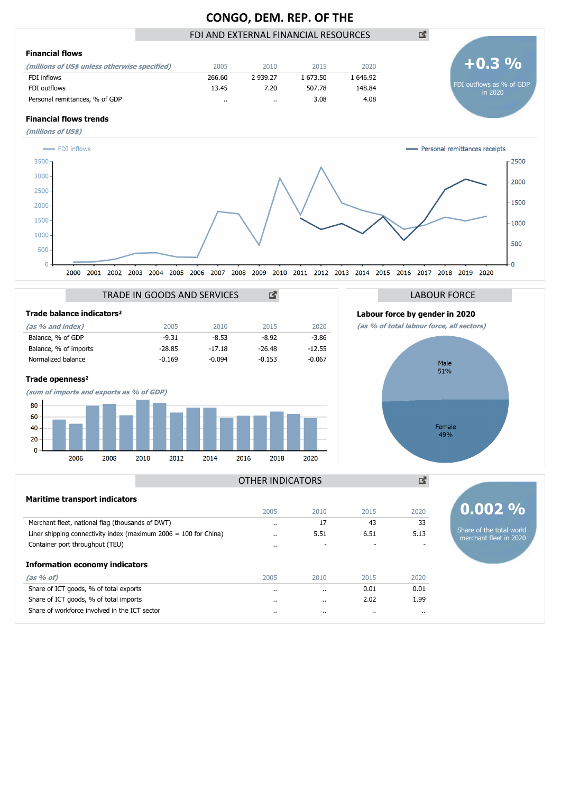# **CONGO, DEM. REP. OF THE**

# FDI AND EXTERNAL FINANCIAL RESOURCES

| <b>Financial flows</b>                        |        |          |        |          |
|-----------------------------------------------|--------|----------|--------|----------|
| (millions of US\$ unless otherwise specified) | 2005   | 2010     | 2015   | 2020     |
| FDI inflows                                   | 266.60 | 2 939.27 | 673.50 | . 646.92 |
| FDI outflows                                  | 13.45  | 7.20     | 507.78 | 148.84   |
| Personal remittances, % of GDP                |        | $\cdots$ | 3.08   | 4.08     |

## **Financial flows trends**









國

凶

**0.002 %**

Share of the total world merchant fleet in 2020

## OTHER INDICATORS

| <b>Maritime transport indicators</b>                               |           |           |      |      |
|--------------------------------------------------------------------|-----------|-----------|------|------|
|                                                                    | 2005      | 2010      | 2015 | 2020 |
| Merchant fleet, national flag (thousands of DWT)                   | $\cdot$ . | 17        | 43   | 33   |
| Liner shipping connectivity index (maximum $2006 = 100$ for China) | $\cdot$ . | 5.51      | 6.51 | 5.13 |
| Container port throughput (TEU)                                    | $\cdot$ . |           |      |      |
| <b>Information economy indicators</b>                              |           |           |      |      |
| $(as % of)$                                                        | 2005      | 2010      | 2015 | 2020 |
| Share of ICT goods, % of total exports                             | $\cdot$ . | $\cdot$ . | 0.01 | 0.01 |
| Share of ICT goods, % of total imports                             | $\cdot$ . |           | 2.02 | 1.99 |
| Share of workforce involved in the ICT sector                      | $\cdot$   | $\cdots$  |      |      |
|                                                                    |           |           |      |      |